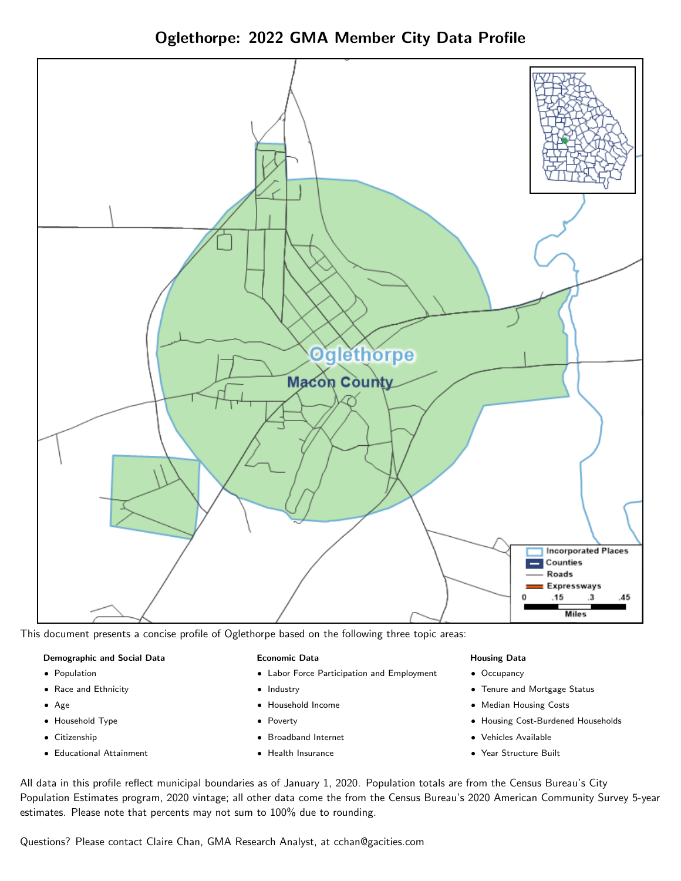Oglethorpe: 2022 GMA Member City Data Profile



This document presents a concise profile of Oglethorpe based on the following three topic areas:

#### Demographic and Social Data

- **•** Population
- Race and Ethnicity
- Age
- Household Type
- **Citizenship**
- Educational Attainment

#### Economic Data

- Labor Force Participation and Employment
- Industry
- Household Income
- Poverty
- Broadband Internet
- Health Insurance

#### Housing Data

- Occupancy
- Tenure and Mortgage Status
- Median Housing Costs
- Housing Cost-Burdened Households
- Vehicles Available
- Year Structure Built

All data in this profile reflect municipal boundaries as of January 1, 2020. Population totals are from the Census Bureau's City Population Estimates program, 2020 vintage; all other data come the from the Census Bureau's 2020 American Community Survey 5-year estimates. Please note that percents may not sum to 100% due to rounding.

Questions? Please contact Claire Chan, GMA Research Analyst, at [cchan@gacities.com.](mailto:cchan@gacities.com)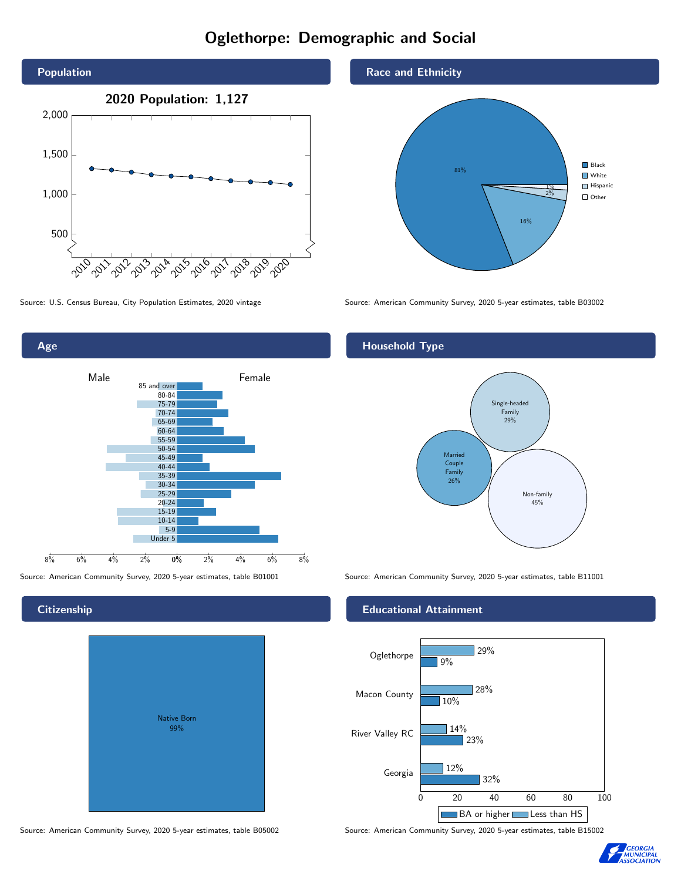# Oglethorpe: Demographic and Social





#### **Citizenship**

| Native Born<br>99% |  |
|--------------------|--|
|                    |  |

Source: American Community Survey, 2020 5-year estimates, table B05002 Source: American Community Survey, 2020 5-year estimates, table B15002





Source: U.S. Census Bureau, City Population Estimates, 2020 vintage Source: American Community Survey, 2020 5-year estimates, table B03002

#### Household Type



Source: American Community Survey, 2020 5-year estimates, table B01001 Source: American Community Survey, 2020 5-year estimates, table B11001

#### Educational Attainment



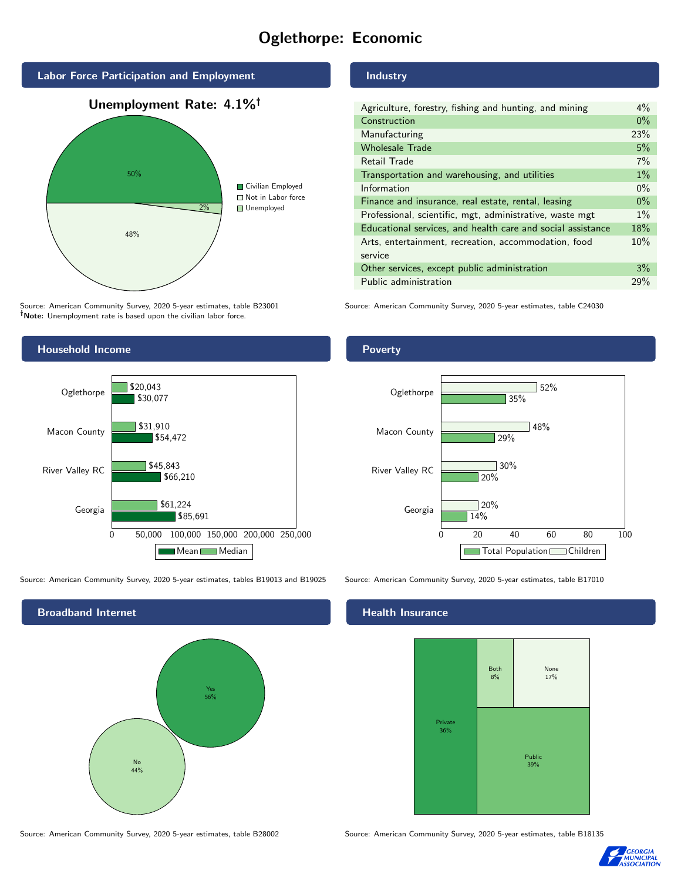# Oglethorpe: Economic



Source: American Community Survey, 2020 5-year estimates, table B23001 Note: Unemployment rate is based upon the civilian labor force.

#### Industry

| Agriculture, forestry, fishing and hunting, and mining      | $4\%$ |
|-------------------------------------------------------------|-------|
| Construction                                                | $0\%$ |
| Manufacturing                                               | 23%   |
| <b>Wholesale Trade</b>                                      | 5%    |
| Retail Trade                                                | 7%    |
| Transportation and warehousing, and utilities               |       |
| Information                                                 |       |
| Finance and insurance, real estate, rental, leasing         |       |
| Professional, scientific, mgt, administrative, waste mgt    |       |
| Educational services, and health care and social assistance |       |
| Arts, entertainment, recreation, accommodation, food        |       |
| service                                                     |       |
| Other services, except public administration                |       |
| Public administration                                       | 29%   |
|                                                             |       |

Source: American Community Survey, 2020 5-year estimates, table C24030



Source: American Community Survey, 2020 5-year estimates, tables B19013 and B19025 Source: American Community Survey, 2020 5-year estimates, table B17010

Broadband Internet No  $44%$ Yes 56%

#### Health Insurance



Source: American Community Survey, 2020 5-year estimates, table B28002 Source: American Community Survey, 2020 5-year estimates, table B18135



#### **Poverty**